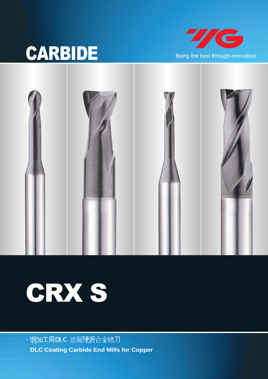# CARBIDE Being the best through innovation







- 铜加工用DLC 涂层硬质合金铣刀 **DLC Coating Carbide End Mills for Copper**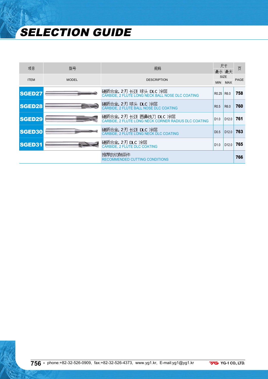# SELECTION GUIDE

| 项目            | 型묵           | 规格                                                                             |                                    | 尺寸<br>最小 最大               | 页           |
|---------------|--------------|--------------------------------------------------------------------------------|------------------------------------|---------------------------|-------------|
| <b>ITEM</b>   | <b>MODEL</b> | <b>DESCRIPTION</b>                                                             | <b>MIN</b>                         | <b>SIZE</b><br><b>MAX</b> | <b>PAGE</b> |
| SGED27        |              | 硬质合金, 2刃 长颈 球头 DLC 涂层<br>CARBIDE, 2 FLUTE LONG NECK BALL NOSE DLC COATING      | R <sub>0.25</sub> R <sub>6.0</sub> |                           | 758         |
| SGED28        |              | 碩质合金,2刃球头 DLC 涂层<br>CARBIDE, 2 FLUTE BALL NOSE DLC COATING                     | R <sub>0.5</sub>                   | R <sub>6.0</sub>          | 760         |
| <b>SGED29</b> |              | 硬质合金,2刃 长颈 圆鼻铣刀 DLC 涂层<br>CARBIDE, 2 FLUTE LONG NECK CORNER RADIUS DLC COATING | D <sub>1.0</sub>                   | D12.0                     | 761         |
| <b>SGED30</b> |              | 硬质合金, 2刃 长颈 DLC 涂层<br>CARBIDE, 2 FLUTE LONG NECK DLC COATING                   | D <sub>0.5</sub>                   | D12.0                     | 763         |
| SGED31        |              | 硬质合金, 2刃 DLC 涂层<br><b>CARBIDE, 2 FLUTE DLC COATING</b>                         | D1.0                               | D <sub>12.0</sub>         | 765         |
|               |              | 推荐的切削条件<br>RECOMMENDED CUTTING CONDITIONS                                      |                                    |                           | 766         |

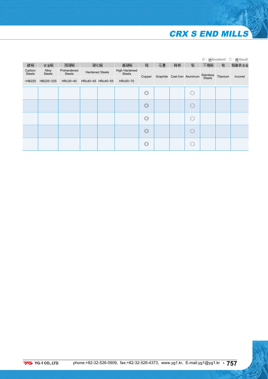### CRX S END MILLS

|                         |                        |                              |                        |                                |                |    |    |                             |               |          | ◎: 优(Excellent) ○: 良(Good) |
|-------------------------|------------------------|------------------------------|------------------------|--------------------------------|----------------|----|----|-----------------------------|---------------|----------|----------------------------|
| 碳钢                      | 合金钢                    | 预硬钢                          | 硬化钢                    | 高硬钢                            | 铜              | 石墨 | 铸铁 | 铝                           | 不锈钢           | 钛        | 铬镍铁合金                      |
| Carbon<br><b>Steels</b> | Alloy<br><b>Steels</b> | Prehardened<br><b>Steels</b> | <b>Hardened Steels</b> | High Hardened<br><b>Steels</b> | Copper         |    |    | Graphite Cast Iron Aluminum | Stainless     | Titanium | Inconel                    |
| $-HB225$                | HB225~325              | HRc30~40                     | HRc40~45 HRc45~55      | HRc55~70                       |                |    |    |                             | <b>Steels</b> |          |                            |
|                         |                        |                              |                        |                                | $\circledcirc$ |    |    |                             |               |          |                            |
|                         |                        |                              |                        |                                | $\circledcirc$ |    |    |                             |               |          |                            |
|                         |                        |                              |                        |                                | $\circledcirc$ |    |    |                             |               |          |                            |
|                         |                        |                              |                        |                                | $\circledcirc$ |    |    |                             |               |          |                            |
|                         |                        |                              |                        |                                | $\circledcirc$ |    |    |                             |               |          |                            |

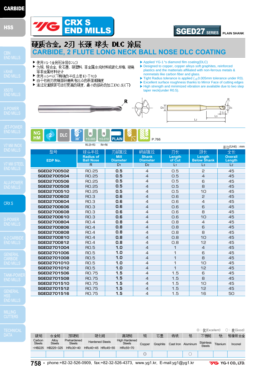### **HSS**

CRX S

GENERAL **CARBIDE** 

▶ Applied YG-1's diamond film coating(DLC)

 $D2$ 

- ▶ Designed to copper, copper alloys soft graphites, reinforced plastics and the matterials affiliated with non-ferrous metals & nonmetals like carbon fiber and glass.
- $\triangleright$  Tight Radius tolerance is applied ( $\pm$ 0.005mm tolerance under R3).

SGED27 **SERIES**

- $\triangleright$  Excellent surface roughness thanks to Mirror Face of cutting edges
- ▶ High strength and minimized vibration are available due to two step taper neck(under R0.5).

 $\overline{1}$ 

L3 L1

R Tn.

**PLAIN SHANK**



**CARBIDE, 2 FLUTE LONG NECK BALL NOSE DLC COATING**



CRX S

▶ 使用YG-1金刚石涂层(DLC)

等非金属材料设计

▶ 使用±5㎞以下精确的半径公差(小于R3) ▶ 由于切削刃的镜面研磨具有出众的表面粗糙度

END MILLS

硬质合金, 2刃 长颈 球头 DLC 涂层

▶ 为铜, 铜合金, 软石墨, 硬塑料, 非金属合成材料或碳化纤维, 玻璃

▶ 通过双重脖颈可进行更高的硬度, 最小的振动的加工(RO.5以下)

|                    |                                      |                                | 单位(Unit) : mm                   |                  |                              |                          |
|--------------------|--------------------------------------|--------------------------------|---------------------------------|------------------|------------------------------|--------------------------|
| 型号                 | 球头半径                                 | 刃部直径                           | 柄部直径                            | 刃长               | 颈长                           | 全长                       |
| <b>EDP No.</b>     | <b>Radius of</b><br><b>Ball Nose</b> | <b>Mill</b><br><b>Diameter</b> | <b>Shank</b><br><b>Diameter</b> | Length<br>of Cut | Length<br><b>Below Shank</b> | <b>Overall</b><br>Length |
|                    | $\mathsf{R}$                         | D <sub>1</sub>                 | D <sub>2</sub>                  | L <sub>1</sub>   | L <sub>3</sub>               | L <sub>2</sub>           |
| <b>SGED2700502</b> | <b>RO.25</b>                         | 0.5                            | 4                               | 0.5              | 2                            | 45                       |
| SGED2700504        | <b>RO.25</b>                         | 0.5                            | $\overline{4}$                  | O.5              | $\overline{4}$               | 45                       |
| <b>SGED2700506</b> | <b>RO.25</b>                         | 0.5                            | 4                               | 0.5              | 6                            | 45                       |
| <b>SGED2700508</b> | <b>RO.25</b>                         | 0.5                            | $\overline{4}$                  | O.5              | 8                            | 45                       |
| SGED2700510        | RO.25                                | 0.5                            | 4                               | O.5              | 10                           | 45                       |
| <b>SGED2700602</b> | RO.3                                 | 0.6                            | 4                               | O.6              | $\mathsf{P}$                 | 45                       |
| SGED2700604        | <b>RO.3</b>                          | 0.6                            | 4                               | O.6              | $\overline{4}$               | 45                       |
| <b>SGED2700606</b> | RO.3                                 | 0.6                            | 4                               | O.6              | 6                            | 45                       |
| <b>SGED2700608</b> | <b>RO.3</b>                          | 0.6                            | 4                               | O.6              | 8                            | 45                       |
| SGED2700610        | RO.3                                 | 0.6                            | 4                               | O.6              | 1 <sub>O</sub>               | 45                       |
| <b>SGED2700804</b> | <b>RO.4</b>                          | 0.8                            | $\overline{4}$                  | O.B              | $\overline{4}$               | 45                       |
| <b>SGED2700806</b> | <b>RO.4</b>                          | 0.8                            | $\overline{4}$                  | O.B              | 6                            | 45                       |
| <b>SGED2700808</b> | <b>RO.4</b>                          | 0.8                            | $\overline{4}$                  | O.B              | 8                            | 45                       |
| SGED2700810        | <b>RO.4</b>                          | 0.8                            | $\overline{4}$                  | O.B              | 10                           | 45                       |
| SGED2700812        | <b>RO.4</b>                          | 0.8                            | $\overline{4}$                  | O.B              | 12                           | 45                       |
| SGED2701004        | <b>RO.5</b>                          | 1.0                            | 4                               | 1                | $\overline{4}$               | 45                       |
| SGED2701006        | <b>RO.5</b>                          | 1.0                            | $\overline{4}$                  | 1                | 6                            | 45                       |
| <b>SGED2701008</b> | <b>RO.5</b>                          | 1.0                            | 4                               | 1                | 8                            | 45                       |
| SGED2701010        | <b>RO.5</b>                          | 1.0                            | 4                               | 1                | 10                           | 45                       |
| SGED2701012        | <b>RO.5</b>                          | 1.0                            | 4                               | 1                | 12                           | 45                       |
| SGED2701506        | <b>RO.75</b>                         | 1.5                            | 4                               | 1.5              | 6                            | 45                       |
| SGED2701508        | <b>RO.75</b>                         | 1.5                            | $\overline{4}$                  | 1.5              | 8                            | 45                       |
| SGED2701510        | <b>RO.75</b>                         | 1.5                            | $\overline{4}$                  | 1.5              | 10                           | 45                       |
| SGED2701512        | <b>RO.75</b>                         | 1.5                            | $\overline{A}$                  | 1.5              | 12                           | 45                       |
| SGED2701516        | <b>RO.75</b>                         | 1.5                            | 4                               | 1.5              | 16                           | 50                       |

◎ : 优(Excellent) ○ : 良(Good) 不锈钢 铬镍铁合金 碳钢 合金钢 预硬钢 硬化钢 高硬钢 铜 石墨 铸铁 铝 钛 Prehardened High Hardened Carbon Alloy Steels Hardened Steels Steels Copper Graphite Cast Iron Aluminum Stainless Steels Stainless Titanium Inconel ~HB225 HB225~325 HRc30~40 HRc40~45 HRc45~55 HRc55~70 ◎ ○

**758 •** phone:+82-32-526-0909, fax:+82-32-526-4373, www.yg1.kr, E-mail:yg1@yg1.kr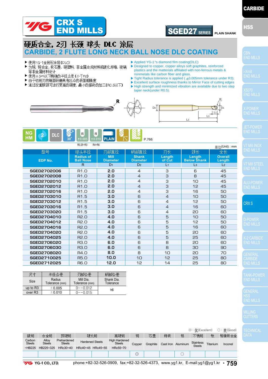

### SGED27 **SERIES PLAIN SHANK**

L3 L1 R D1 HSS

**CARBIDE** 

### 硬质合金, 2刃 长颈 球头 DLC 涂层 **CARBIDE, 2 FLUTE LONG NECK BALL NOSE DLC COATING**

- ▶ 使用YG-1金刚石涂层(DLC)
- ▶ 为铜, 铜合金, 软石墨, 硬塑料, 非金属合成材料或碳化纤维, 玻璃 等非金属材料设计
- ▶ 使用±5um以下精确的半径公差(小干R3)
- ▶ 由于切削刃的镜面研磨具有出众的表面粗糙度
- ▶ 通过双重脖颈可进行更高的硬度, 最小的振动的加工(RO.5以下)
- ▶ Applied YG-1's diamond film coating(DLC)
- ▶ Designed to copper, copper alloys soft graphites, reinforced plastics and the matterials affiliated with non-ferrous metals & nonmetals like carbon fiber and glass.
- $\blacktriangleright$  Tight Radius tolerance is applied ( $\pm$ 0.005mm tolerance under R3).
- $\triangleright$  Excellent surface roughness thanks to Mirror Face of cutting edges ▶ High strength and minimized vibration are available due to two step
- taper neck(under R0.5).

 $\overline{1}$ 





|                    | 110.2011<br><b>INT INU</b>           |                                |                                 |                  |                              | 单位(Unit): mm             |
|--------------------|--------------------------------------|--------------------------------|---------------------------------|------------------|------------------------------|--------------------------|
| 型号                 | 球头半径                                 | 刃部直径                           | 柄部直径                            | 刃长               | 颈长                           | 全长                       |
| EDP No.            | <b>Radius of</b><br><b>Ball Nose</b> | <b>Mill</b><br><b>Diameter</b> | <b>Shank</b><br><b>Diameter</b> | Length<br>of Cut | Length<br><b>Below Shank</b> | <b>Overall</b><br>Length |
|                    | $\mathsf{R}$                         | D <sub>1</sub>                 | D <sub>2</sub>                  | L <sub>1</sub>   | L <sub>3</sub>               | L <sub>2</sub>           |
| <b>SGED2702006</b> | R <sub>1.</sub> O                    | 2.0                            | $\overline{4}$                  | 3                | 6                            | 45                       |
| SGED2702008        | R <sub>1.</sub> O                    | 2.0                            | $\overline{4}$                  | З                | $\mathsf{B}$                 | 45                       |
| SGED2702010        | R <sub>1.</sub> O                    | 2.0                            | $\overline{4}$                  | З                | 10                           | 45                       |
| SGED2702012        | R <sub>1.</sub> O                    | 2.0                            | $\overline{4}$                  | 3                | 12                           | 45                       |
| SGED2702016        | R <sub>1.</sub> O                    | 2.0                            | $\overline{4}$                  | 3                | 16                           | 50                       |
| SGED2703010        | R <sub>1.5</sub>                     | 3.0                            | 6                               | $\overline{4}$   | 10                           | 50                       |
| SGED2703012        | R <sub>1.5</sub>                     | 3.0                            | 6                               | 4                | 12                           | 50                       |
| SGED2703016        | R <sub>1.5</sub>                     | 3.0                            | 6                               | 4                | 16                           | 60                       |
| SGED2703020        | R <sub>1.5</sub>                     | 3.0                            | 6                               | 4                | 20                           | 60                       |
| SGED2704010        | R <sub>2.</sub> O                    | 4.0                            | 6                               | 5                | 10                           | 50                       |
| SGED2704012        | R <sub>2.</sub> O                    | 4.0                            | 6                               | 5                | 12                           | 50                       |
| SGED2704016        | R <sub>2</sub> .0                    | 4.0                            | 6                               | 5                | 16                           | 60                       |
| SGED2704020        | R <sub>2</sub> .0                    | 4.0                            | 6                               | 5                | 20                           | 60                       |
| SGED2704025        | <b>R2.0</b>                          | 4.0                            | 6                               | 5                | 25                           | 60                       |
| SGED2706020        | <b>R3.0</b>                          | 6.0                            | 6                               | 8                | 20                           | 60                       |
| <b>SGED2706030</b> | <b>R3.0</b>                          | 6.0                            | 6                               | 8                | 30                           | 90                       |
| SGED2708020        | <b>R4.0</b>                          | 8.0                            | 8                               | 10               | 20                           | 70                       |
| SGED2710025        | <b>R5.0</b>                          | 10.0                           | 10                              | 12               | 25                           | 80                       |
| SGED2712025        | R6.0                                 | 12.0                           | 12                              | 14               | 25                           | 80                       |

| 尺寸                  | 半径公差                     | 刃部公差                        | 柄部公差                    |
|---------------------|--------------------------|-----------------------------|-------------------------|
| Size                | Radius<br>Tolerance (mm) | Mill Dia.<br>Tolerance (mm) | Shank Dia.<br>Tolerance |
| up to $R3$          | ± 0.005                  | $0 \sim -0.012$             | h6                      |
| over R <sub>3</sub> | ± 0.010                  | $0 \sim -0.015$             |                         |

**YG** YG-1 CO., LTD.

|                         |                        |                              |                   |                                         |          |        |          |    |                    | ◎:优(Excellent)                    |          | ○:良(Good) |
|-------------------------|------------------------|------------------------------|-------------------|-----------------------------------------|----------|--------|----------|----|--------------------|-----------------------------------|----------|-----------|
| 碳钢                      | 合金钢                    | 预硬钢                          |                   | 硬化钢                                     | 高硬钢      | 铜      | 石墨       | 铸铁 | 铝                  | 不锈钢                               | 뜏        | 铬镍铁合金     |
| Carbon<br><b>Steels</b> | Allov<br><b>Steels</b> | Prehardened<br><b>Steels</b> |                   | High Hardened<br><b>Hardened Steels</b> |          | Copper | Graphite |    | Cast Iron Aluminum | <b>Stainless</b><br><b>Steels</b> | Titanium | Inconel   |
| $-HB225$                | HB225~325              | HRc30~40                     | HRc40~45 HRc45~55 |                                         | HRc55~70 |        |          |    |                    |                                   |          |           |
|                         |                        |                              |                   |                                         |          | ∩<br>ب |          |    |                    |                                   |          |           |

phone:+82-32-526-0909, fax:+82-32-526-4373, www.yg1.kr, E-mail:yg1@yg1.kr **• 759**

END MILLS

CRX S

**CARBIDE**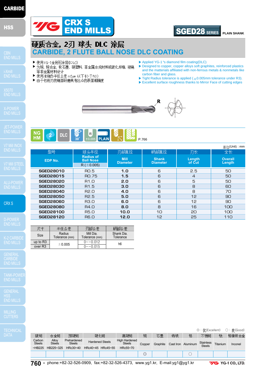### **HSS**

CRX S

**CARBIDE** 

MILLING

|                         |                        |                              |                        |  |                                       |                |          |    |                    |                            |          | ◎:优(Excellent) ○:良(Good) |
|-------------------------|------------------------|------------------------------|------------------------|--|---------------------------------------|----------------|----------|----|--------------------|----------------------------|----------|--------------------------|
| 碳钢                      | 合金钢                    | 预硬钢                          | 硬化钢                    |  | 高硬钢                                   | 铜              | 石墨       | 铸铁 | 铝                  | 不锈钢                        | 뜏        | 铬镍铁合金                    |
| Carbon<br><b>Steels</b> | Allov<br><b>Steels</b> | Prehardened<br><b>Steels</b> | <b>Hardened Steels</b> |  | <b>High Hardened</b><br><b>Steels</b> | Copper         | Graphite |    | Cast Iron Aluminum | <b>Stainless</b><br>Steels | Titanium | Inconel                  |
| $-HB225$                | HB225~325              | HRc30~40                     | HRc40~45 HRc45~55      |  | HRc55~70                              |                |          |    |                    |                            |          |                          |
|                         |                        |                              |                        |  |                                       | $\circledcirc$ |          |    |                    |                            |          |                          |



**760 •** phone:+82-32-526-0909, fax:+82-32-526-4373, www.yg1.kr, E-mail:yg1@yg1.kr

- ▶ Applied YG-1's diamond film coating(DLC)
- ▶ Designed to copper, copper alloys soft graphites, reinforced plastics and the matterials affiliated with non-ferrous metals & nonmetals like carbon fiber and glass.

SGED28 **SERIES**

**PLAIN SHANK**

- $\triangleright$  Tight Radius tolerance is applied ( $\pm$ 0.005mm tolerance under R3).
- ▶ Excellent surface roughness thanks to Mirror Face of cutting edges

**R↙**

**CARBIDE, 2 FLUTE BALL NOSE DLC COATING**



CRX S

硬质合金, 2刃 球头 DLC 涂层

▶ 为铜, 铜合金, 软石墨, 硬塑料, 非金属合成材料或碳化纤维, 玻璃

▶ 使用YG-1金刚石涂层(DLC)

等非金属材料设计

"/G

▶ 使用准确的半径公差±5μm 以下(小于R3) ▶ 由于切削刃的镜面研磨具有出众的表面粗糙度

|                  |                                      |                                |                                 |                  | 单位(Unit) : mm            |
|------------------|--------------------------------------|--------------------------------|---------------------------------|------------------|--------------------------|
| 型号               | 球头半径                                 | 刃部直径                           | 柄部直径                            | 刃长               | 全长                       |
| EDP No.          | <b>Radius of</b><br><b>Ball Nose</b> | <b>Mill</b><br><b>Diameter</b> | <b>Shank</b><br><b>Diameter</b> | Length<br>of Cut | <b>Overall</b><br>Length |
|                  | $R (\pm 0.005)$                      |                                |                                 |                  |                          |
| <b>SGED28010</b> | RO.5                                 | 1.0                            | 6                               | 2.5              | 50                       |
| <b>SGED28015</b> | <b>RO.75</b>                         | 1.5                            | 6                               | 4                | 50                       |
| <b>SGED28020</b> | R1.0                                 | 2.0                            | 6                               | 5                | 50                       |
| <b>SGED28030</b> | R <sub>1.5</sub>                     | 3.0                            | 6                               | 8                | 60                       |
| <b>SGED28040</b> | R <sub>2</sub> .0                    | 4.0                            | 6                               | 8                | 70                       |
| <b>SGED28050</b> | R <sub>2.5</sub>                     | 5.0                            | 6                               | 12               | 90                       |
| <b>SGED28060</b> | <b>R3.0</b>                          | 6.0                            | 6                               | 12               | 90                       |
| <b>SGED28080</b> | <b>R4.0</b>                          | 8.0                            | 8                               | 16               | 100                      |
| <b>SGED28100</b> | <b>R5.0</b>                          | 10.0                           | 10                              | 20               | 100                      |
| <b>SGED28120</b> | <b>R6.0</b>                          | 12.0                           | 12                              | 25               | 110                      |

| トマ                  | 半径公差                     | 刃部公差                        | 柄部公差                    |  |
|---------------------|--------------------------|-----------------------------|-------------------------|--|
| Size                | Radius<br>Tolerance (mm) | Mill Dia.<br>Tolerance (mm) | Shank Dia.<br>Tolerance |  |
| up to $R3$          | ±0.005                   | $0 \sim -0.012$             | h <sub>6</sub>          |  |
| over R <sub>3</sub> |                          | $0 \sim -0.015$             |                         |  |

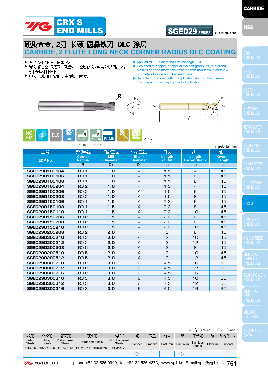

### SGED29 **SERIES PLAIN SHANK**

 $\sqrt{13}$ 

R

HSS

**CARBIDE** 

### 硬质合金 2刃 长颈 圆鼻铣刀 DLC 涂层 **CARBIDE, 2 FLUTE LONG NECK CORNER RADIUS DLC COATING**

- ▶ 使用YG-1金刚石涂层(DLC)
- ▶ 为铜, 铜合金, 软石墨, 硬塑料, 非金属合成材料或碳化纤维, 玻璃 等非金属材料设计
- ▶ 可以广泛应用于粗加工, 半精加工和精加工
- ▶ Applied YG-1's diamond film coating(DLC)
- ▶ Designed to copper, copper alloys soft graphites, reinforced plastics and the matterials affiliated with non-ferrous metals & nonmetals like carbon fiber and glass.
- ▶Suitable for various cutting application like roughing, semifinishing and finishing thanks to application





|               | Ø8~Ø12<br>Ø1~Ø6                |                                |                                 |                  |                              | 单位(Unit): mm             |
|---------------|--------------------------------|--------------------------------|---------------------------------|------------------|------------------------------|--------------------------|
| 型号            | 圆弧半径                           | 刃部直径                           | 柄部直径                            | 刃长               | 颈长                           | 全长                       |
| EDP No.       | <b>Corner</b><br><b>Radius</b> | <b>Mill</b><br><b>Diameter</b> | <b>Shank</b><br><b>Diameter</b> | Length<br>of Cut | Length<br><b>Below Shank</b> | <b>Overall</b><br>Length |
|               | R.                             | D <sub>1</sub>                 | D <sub>2</sub>                  | L <sub>1</sub>   | $\mathsf{L}3$                | L <sub>2</sub>           |
| SGED290100104 | <b>RO.1</b>                    | 1.0                            | 4                               | 1.5              | 4                            | 45                       |
| SGED290100106 | <b>RO.1</b>                    | 1.0                            | $\overline{4}$                  | 1.5              | 6                            | 45                       |
| SGED290100108 | <b>RO.1</b>                    | 1.0                            | $\overline{4}$                  | 1.5              | 8                            | 45                       |
| SGED290100204 | <b>RO.2</b>                    | 1.0                            | $\overline{4}$                  | 1.5              | $\overline{4}$               | 45                       |
| SGED290100206 | <b>RO.2</b>                    | 1.0                            | $\overline{4}$                  | 1.5              | 6                            | 45                       |
| SGED290100208 | <b>RO.2</b>                    | 1.0                            | $\overline{4}$                  | 1.5              | 8                            | 45                       |
| SGED290150106 | <b>RO.1</b>                    | 1.5                            | $\overline{4}$                  | 2.3              | 6                            | 45                       |
| SGED290150108 | <b>RO.1</b>                    | 1.5                            | $\overline{4}$                  | 2.3              | 8                            | 45                       |
| SGED290150110 | <b>RO.1</b>                    | 1.5                            | $\overline{4}$                  | 2.3              | 10                           | 45                       |
| SGED290150206 | <b>RO.2</b>                    | 1.5                            | $\overline{4}$                  | 2.3              | 6                            | 45                       |
| SGED290150208 | <b>RO.2</b>                    | 1.5                            | 4                               | 2.3              | 8                            | 45                       |
| SGED290150210 | <b>RO.2</b>                    | 1.5                            | $\overline{4}$                  | 2.3              | 10                           | 45                       |
| SGED290200208 | <b>RO.2</b>                    | 2.0                            | $\overline{4}$                  | 3                | 8                            | 45                       |
| SGED290200210 | <b>RO.2</b>                    | 2.0                            | $\overline{4}$                  | З                | 10                           | 45                       |
| SGED290200212 | <b>RO.2</b>                    | 2.0                            | $\overline{4}$                  | 3                | 12                           | 45                       |
| SGED290200508 | <b>RO.5</b>                    | 2.0                            | $\overline{4}$                  | 3                | 8                            | 45                       |
| SGED290200510 | <b>RO.5</b>                    | 2.0                            | $\overline{4}$                  | З                | 10                           | 45                       |
| SGED290200512 | <b>RO.5</b>                    | 2.0                            | $\overline{4}$                  | 3                | 12                           | 45                       |
| SGED290300210 | <b>RO.2</b>                    | 3.0                            | 6                               | 4.5              | 10                           | 50                       |
| SGED290300212 | <b>RO.2</b>                    | 3.0                            | 6                               | 4.5              | 12                           | 50                       |
| SGED290300216 | <b>RO.2</b>                    | 3.0                            | 6                               | 4.5              | 16                           | 60                       |
| SGED290300310 | <b>RO.3</b>                    | 3.0                            | 6                               | 4.5              | 10                           | 50                       |
| SGED290300312 | <b>RO.3</b>                    | 3.0                            | 6                               | 4.5              | 12                           | 50                       |
| SGED290300316 | <b>RO.3</b>                    | 3.0                            | 6                               | 4.5              | 16                           | 60                       |

|                         | ◎:优(Excellent)<br>○: 良(Good) |                              |                        |     |                                       |                |          |    |                    |                                   |          |         |
|-------------------------|------------------------------|------------------------------|------------------------|-----|---------------------------------------|----------------|----------|----|--------------------|-----------------------------------|----------|---------|
| 碳钢                      | 合金钢                          | 预硬钢                          |                        | 硬化钢 | 高硬钢                                   | 铜              | 石墨       | 铸铁 | 铝                  | 不锈钢                               | 钛        | 铬镍铁合金   |
| Carbon<br><b>Steels</b> | Allov<br><b>Steels</b>       | Prehardened<br><b>Steels</b> | <b>Hardened Steels</b> |     | <b>High Hardened</b><br><b>Steels</b> | Copper         | Graphite |    | Cast Iron Aluminum | <b>Stainless</b><br><b>Steels</b> | Titanium | Inconel |
| $-HB225$                | HB225~325                    | HRc30~40                     | HRc40~45 HRc45~55      |     | HRc55~70                              |                |          |    |                    |                                   |          |         |
|                         |                              |                              |                        |     |                                       | $\circledcirc$ |          |    |                    |                                   |          |         |
|                         |                              |                              |                        |     |                                       |                |          |    |                    |                                   |          |         |



END MILLS

CRX S

**ARBIDE**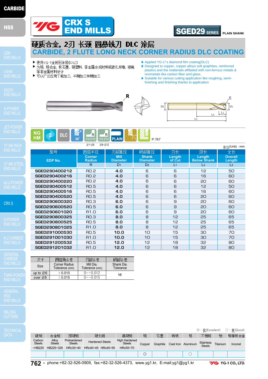### **HSS**

CRX S

**CARBIDE** 

MILLING



**762 •** phone:+82-32-526-0909, fax:+82-32-526-4373, www.yg1.kr, E-mail:yg1@yg1.kr

▶ Applied YG-1's diamond film coating(DLC)

▶ Designed to copper, copper alloys soft graphites, reinforced plastics and the matterials affiliated with non-ferrous metals & nonmetals like carbon fiber and glass.

SGED29 **SERIES**

 $\frac{L_1}{2}$ 

R

**PLAIN SHANK**

▶Suitable for various cutting application like roughing, semifinishing and finishing thanks to application







CRX S

▶ 使用YG-1金刚石涂层(DLC)

等非金属材料设计

▶ 可以广泛应用于粗加工, 半精加工和精加工

END MILLS

硬质合金, 2刃 长颈 圆鼻铣刀 DLC 涂层

▶ 为铜, 铜合金, 软石墨, 硬塑料, 非金属合成材料或碳化纤维, 玻璃

|               | $Ø1 - Ø6$<br>Ø8~Ø12            |                                |                                 |                  |                              | $#$ 位(Unit): mm          |
|---------------|--------------------------------|--------------------------------|---------------------------------|------------------|------------------------------|--------------------------|
| 型号            | 圆弧半径                           | 刃部直径                           | 柄部直径                            | 刃长               | 颈长                           | 全长                       |
| EDP No.       | <b>Corner</b><br><b>Radius</b> | <b>Mill</b><br><b>Diameter</b> | <b>Shank</b><br><b>Diameter</b> | Length<br>of Cut | Length<br><b>Below Shank</b> | <b>Overall</b><br>Length |
|               | $\mathsf{R}$                   | D <sub>1</sub>                 | D <sub>2</sub>                  | L <sub>1</sub>   | $\mathsf{L}3$                | L <sub>2</sub>           |
| SGED290400212 | RO.2                           | 4.0                            | 6                               | 6                | 12                           | 50                       |
| SGED290400216 | <b>RO.2</b>                    | 4.0                            | 6                               | 6                | 16                           | 60                       |
| SGED290400220 | RO.2                           | 4.0                            | 6                               | 6                | 20                           | 60                       |
| SGED290400512 | <b>RO.5</b>                    | 4.0                            | 6                               | 6                | 12                           | 50                       |
| SGED290400516 | <b>RO.5</b>                    | 4.O                            | 6                               | 6                | 16                           | 60                       |
| SGED290400520 | <b>RO.5</b>                    | 4.0                            | 6                               | 6                | 20                           | 60                       |
| SGED290600320 | <b>RO.3</b>                    | 6.0                            | 6                               | 9                | 20                           | 60                       |
| SGED290600520 | <b>RO.5</b>                    | 6.0                            | 6                               | 9                | 20                           | 60                       |
| SGED290601020 | R1.0                           | 6.0                            | 6                               | 9                | 20                           | 60                       |
| SGED290800325 | <b>RO.3</b>                    | 8.0                            | 8                               | 12               | 25                           | 65                       |
| SGED290800525 | <b>RO.5</b>                    | 8.0                            | 8                               | 12               | 25                           | 65                       |
| SGED290801025 | R1.0                           | 8.0                            | 8                               | 12               | 25                           | 65                       |
| SGED291000530 | <b>RO.5</b>                    | 10.0                           | 10                              | 15               | 30                           | 70                       |
| SGED291001030 | R1.0                           | 10.0                           | 10                              | 15               | 30                           | 70                       |
| SGED291200532 | <b>RO.5</b>                    | 12.0                           | 12                              | 18               | 32                           | 80                       |
| SGED291201032 | R <sub>1.</sub> O              | 12.0                           | 12                              | 18               | 32                           | 80                       |

I

**CARBIDE, 2 FLUTE LONG NECK CORNER RADIUS DLC COATING**

| 운박                    | 圆弧角公差                                  | 刃部公差                        | 柄部公差                    |  |  |
|-----------------------|----------------------------------------|-----------------------------|-------------------------|--|--|
| Size                  | <b>Corner Radius</b><br>Tolerance (mm) | Mill Dia.<br>Tolerance (mm) | Shank Dia.<br>Tolerance |  |  |
| up to $\varnothing 6$ | ± 0.010                                | $0 \sim -0.012$             | h <sub>6</sub>          |  |  |
| over $\varnothing 6$  | ±0.015                                 | $0 \sim -0.015$             |                         |  |  |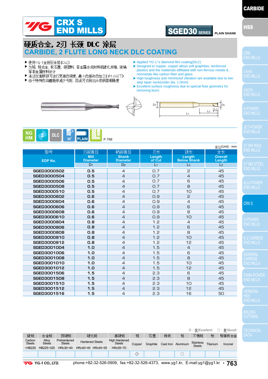



**CARBIDE** 

### 硬质合金, 2刃 长颈 DLC 涂层 **CARBIDE, 2 FLUTE LONG NECK DLC COATING**

- ▶ 使用YG-1金刚石涂层(DLC)
- ▶ 为铜, 铜合金, 软石墨, 硬塑料, 非金属合成材料或碳化纤维, 玻璃 等非金属材料设计
- ▶ 通过双重脖颈可进行更高的硬度, 最小的振动的加工(Φ1.0以下)
- ▶ 由于特殊的沟槽能够减少毛刺,因此可达到出众的表面粗糙度
- ▶ Applied YG-1's diamond film coating(DLC)
- ▶ Designed to copper, copper alloys soft graphites, reinforced plastics and the matterials affiliated with non-ferrous metals & nonmetals like carbon fiber and glass.
- ▶High toughness and minimized vibration are available due to two step taper neck(under dia. 1.0mm)

L2

L3  $\lfloor \frac{L_1}{L_1} \rfloor$ 

▶Excellent surface roughness due to special flute geometry for removing burrs





|                    |                                |                                 |                  |                              | $\hat{\mathbf{\underline{H}}}$ $\hat{\mathbf{U}}$ (Unit) : mm | V7 Mi               |
|--------------------|--------------------------------|---------------------------------|------------------|------------------------------|---------------------------------------------------------------|---------------------|
| 型号                 | 刃部直径                           | 柄部直径                            | 刃长               | 颈长                           | 全长                                                            | END <sup>1</sup>    |
| EDP No.            | <b>Mill</b><br><b>Diameter</b> | <b>Shank</b><br><b>Diameter</b> | Length<br>of Cut | Length<br><b>Below Shank</b> | <b>Overall</b><br>Length                                      |                     |
|                    | D <sub>1</sub>                 | D <sub>2</sub>                  | L <sub>1</sub>   | L <sub>3</sub>               | L <sub>2</sub>                                                | V7 Mi               |
| <b>SGED3000502</b> | 0.5                            | $\overline{4}$                  | O.7              | 2                            | 45                                                            | END I               |
| SGED3000504        | 0.5                            | $\overline{4}$                  | O.7              | $\overline{4}$               | 45                                                            |                     |
| <b>SGED3000506</b> | 0.5                            | $\overline{4}$                  | Q.7              | 6                            | 45                                                            | ALU-F               |
| <b>SGED3000508</b> | 0.5                            | $\overline{4}$                  | O.7              | 8                            | 45                                                            | END <sup>1</sup>    |
| SGED3000510        | 0.5                            | $\overline{4}$                  | O.7              | 10                           | 45                                                            |                     |
| <b>SGED3000602</b> | 0.6                            | $\overline{4}$                  | O.9              | 5                            | 45                                                            |                     |
| <b>SGED3000604</b> | 0.6                            | $\overline{4}$                  | O.9              | 4                            | 45                                                            | CRX 9               |
| <b>SGED3000606</b> | 0.6                            | $\overline{4}$                  | O.9              | 6                            | 45                                                            |                     |
| <b>SGED3000608</b> | 0.6                            | $\overline{4}$                  | O.9              | 8                            | 45                                                            |                     |
| SGED3000610        | 0.6                            | $\overline{4}$                  | O.9              | 10                           | 45                                                            | D-PO                |
| <b>SGED3000804</b> | 0.8                            | $\overline{4}$                  | 1.2              | $\overline{4}$               | 45                                                            | END I               |
| <b>SGED3000806</b> | 0.8                            | $\overline{4}$                  | 1.2              | 6                            | 45                                                            |                     |
| <b>SGED3000808</b> | 0.8                            | $\overline{4}$                  | 1.2              | 8                            | 45                                                            |                     |
| SGED3000810        | 0.8                            | $\overline{4}$                  | 1.2              | 10                           | 45                                                            | $K-2C$              |
| SGED3000812        | 0.8                            | $\overline{4}$                  | 1.2              | 12                           | 45                                                            | END I               |
| SGED3001004        | 1.0                            | $\overline{4}$                  | 1.5              | $\overline{4}$               | 45                                                            |                     |
| SGED3001006        | 1.0                            | $\overline{4}$                  | 1.5              | 6                            | 45                                                            | <b>GENE</b>         |
| <b>SGED3001008</b> | 1.0                            | $\overline{4}$                  | 1.5              | 8                            | 45                                                            | <b>CARE</b>         |
| SGED3001010        | 1.0                            | $\overline{4}$                  | 1.5              | 10                           | 45                                                            | END I               |
| SGED3001012        | 1.0                            | $\overline{4}$                  | 1.5              | 12                           | 45                                                            |                     |
| <b>SGED3001506</b> | 1.5                            | $\overline{4}$                  | 2.3              | 6                            | 45                                                            | <b>TANK</b>         |
| <b>SGED3001508</b> | 1.5                            | $\overline{4}$                  | 2.3              | 8                            | 45                                                            | END I               |
| SGED3001510        | 1.5                            | $\overline{4}$                  | 2.3              | 10                           | 45                                                            |                     |
| SGED3001512        | 1.5                            | $\overline{4}$                  | 2.3              | 12                           | 45                                                            |                     |
| SGED3001516        | 1.5                            | $\overline{4}$                  | 2.3              | 16                           | 50                                                            | <b>GENE</b><br>uee. |

|                         |                        |                              |                        |     |                                       |                |          |    |                    | $\odot$ : $\frac{1}{2}$ (Excellent) |          | ○: 良(Good) |
|-------------------------|------------------------|------------------------------|------------------------|-----|---------------------------------------|----------------|----------|----|--------------------|-------------------------------------|----------|------------|
| 碳钢                      | 合金钢                    | 预硬钢                          |                        | 硬化钢 | 高硬钢                                   | 铜              | 石墨       | 铸铁 | 铝                  | 不锈钢                                 | 쓗        | 铬镍铁合金      |
| Carbon<br><b>Steels</b> | Allov<br><b>Steels</b> | Prehardened<br><b>Steels</b> | <b>Hardened Steels</b> |     | <b>High Hardened</b><br><b>Steels</b> | Copper         | Graphite |    | Cast Iron Aluminum | <b>Stainless</b><br><b>Steels</b>   | Titanium | Inconel    |
| $-HB225$                | HB225~325              | $HRc30-40$                   | HRc40~45 HRc45~55      |     | HRc55~70                              |                |          |    |                    |                                     |          |            |
|                         |                        |                              |                        |     |                                       | $\circledcirc$ |          |    |                    |                                     |          |            |
|                         |                        |                              |                        |     |                                       |                |          |    |                    |                                     |          |            |

**7/G** YG-1 CO., LTD.

phone:+82-32-526-0909, fax:+82-32-526-4373, www.yg1.kr, E-mail:yg1@yg1.kr **• 763**

CRX S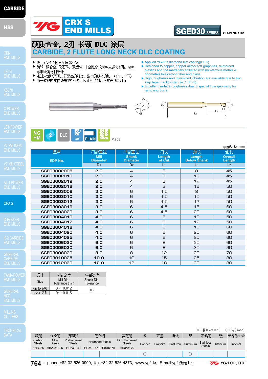# **END MILLS** SGED30 SERIES

CRX S

**CARBIDE** 

MILLING



- ▶ Designed to copper, copper alloys soft graphites, reinforced plastics and the matterials affiliated with non-ferrous metals & nonmetals like carbon fiber and glass.
- ▶High toughness and minimized vibration are available due to two step taper neck(under dia. 1.0mm)
- ▶Excellent surface roughness due to special flute geometry for removing burrs



**CARBIDE, 2 FLUTE LONG NECK DLC COATING**





**PLAIN SHANK**

| PLAIN<br>1 = 1<br>P.768 |
|-------------------------|
|-------------------------|

CRX S

硬质合金, 2刃 长颈 DLC 涂层

▶ 为铜, 铜合金, 软石墨, 硬塑料, 非金属合成材料或碳化纤维, 玻璃

▶ 通过双重脖颈可进行更高的硬度, 最小的振动的加工(Φ1.0以下) ▶ 由于特殊的沟槽能够减少毛刺, 因此可达到出众的表面粗糙度

▶ 使用YG-1金刚石涂层(DLC)

等非金属材料设计

|                    |                                |                                 |                  |                              | 单位(Unit) : mm            |
|--------------------|--------------------------------|---------------------------------|------------------|------------------------------|--------------------------|
| 型号                 | 刃部直径                           | 柄部直径                            | 刃长               | 颈长                           | 全长                       |
| EDP No.            | <b>Mill</b><br><b>Diameter</b> | <b>Shank</b><br><b>Diameter</b> | Length<br>of Cut | Length<br><b>Below Shank</b> | <b>Overall</b><br>Length |
|                    | D <sub>1</sub>                 | D <sub>2</sub>                  | L <sub>1</sub>   | L <sub>3</sub>               | L <sub>2</sub>           |
| <b>SGED3002008</b> | 2.0                            | $\overline{4}$                  | 3                | 8                            | 45                       |
| SGED3002010        | 2.0                            | $\overline{4}$                  | 3                | 10                           | 45                       |
| SGED3002012        | 2.0                            | $\overline{4}$                  | 3                | 12                           | 45                       |
| SGED3002016        | 2.0                            | $\overline{4}$                  | 3                | 16                           | 50                       |
| <b>SGED3003008</b> | 3.0                            | 6                               | 4.5              | 8                            | 50                       |
| SGED3003010        | 3.0                            | 6                               | 4.5              | 10                           | 50                       |
| SGED3003012        | 3.0                            | 6                               | 4.5              | 12                           | 50                       |
| SGED3003016        | 3.0                            | 6                               | 4.5              | 16                           | 60                       |
| <b>SGED3003020</b> | 3.0                            | 6                               | 4.5              | 20                           | 60                       |
| SGED3004010        | 4.0                            | 6                               | 6                | 10                           | 50                       |
| SGED3004012        | 4.0                            | 6                               | 6                | 12                           | 50                       |
| SGED3004016        | 4.0                            | 6                               | 6                | 16                           | 60                       |
| <b>SGED3004020</b> | 4.0                            | 6                               | 6                | 20                           | 60                       |
| SGED3004025        | 4.0                            | 6                               | 6                | 25                           | 60                       |
| <b>SGED3006020</b> | 6.0                            | 6                               | 8                | 20                           | 60                       |
| <b>SGED3006030</b> | 6.0                            | 6                               | 8                | 30                           | 90                       |
| <b>SGED3008020</b> | 8.0                            | 8                               | 12               | 20                           | 70                       |
| SGED3010025        | 10.0                           | 10                              | 15               | 25                           | 80                       |
| SGED3012030        | 12.0                           | 12                              | 18               | 30                           | 80                       |

|                       | 刃部公差                        | 柄部公差                    |
|-----------------------|-----------------------------|-------------------------|
| Size                  | Mill Dia.<br>Tolerance (mm) | Shank Dia.<br>Tolerance |
| up to $\varnothing 6$ | $0 \sim -0.012$             | h6                      |
| over Ø6               | $0 \sim -0.015$             |                         |

|                         |                        |                              |                        |  |                                       |                |          |    |                    | ◎:优(Excellent)      |          | ○:良(Good) |
|-------------------------|------------------------|------------------------------|------------------------|--|---------------------------------------|----------------|----------|----|--------------------|---------------------|----------|-----------|
| 碳钢                      | 合金钢                    | 预硬钢                          | 硬化钢                    |  | 高硬钢                                   | 铜              | 石墨       | 铸铁 | 铝                  | 不锈钢                 | 뜏        | 铬镍铁合金     |
| Carbon<br><b>Steels</b> | Allov<br><b>Steels</b> | Prehardened<br><b>Steels</b> | <b>Hardened Steels</b> |  | <b>High Hardened</b><br><b>Steels</b> | Copper         | Graphite |    | Cast Iron Aluminum | Stainless<br>Steels | Titanium | Inconel   |
| $-HB225$                | HB225~325              | HRc30~40                     | HRc40~45 HRc45~55      |  | HRc55~70                              |                |          |    |                    |                     |          |           |
|                         |                        |                              |                        |  |                                       | $\circledcirc$ |          |    |                    |                     |          |           |

**764 •** phone:+82-32-526-0909, fax:+82-32-526-4373, www.yg1.kr, E-mail:yg1@yg1.kr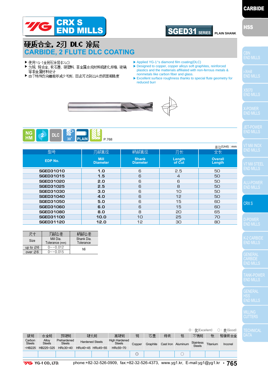

# **CARBIDE**

END MILLS

### 硬质合金 2刃 DLC 涂层 **CARBIDE, 2 FLUTE DLC COATING**

- ▶ 使用YG-1金刚石涂层(DLC)
- ▶ 为铜, 铜合金, 软石墨, 硬塑料, 非金属合成材料或碳化纤维, 玻璃 等非金属材料设计
- ▶ 由于特殊的沟槽能够减少毛刺, 因此可达到出众的表面粗糙度
- ▶ Applied YG-1's diamond film coating(DLC)
- ▶ Designed to copper, copper alloys soft graphites, reinforced plastics and the matterials affiliated with non-ferrous metals & nonmetals like carbon fiber and glass.
- ▶Excellent surface roughness thanks to special flute geometry for reduced burr





|                  |                                |                                 |                  | $#$ 位(Unit): mm          |
|------------------|--------------------------------|---------------------------------|------------------|--------------------------|
| 型号               | 刃部直径                           | 柄部直径                            | 刃长               | 全长                       |
| <b>EDP No.</b>   | <b>Mill</b><br><b>Diameter</b> | <b>Shank</b><br><b>Diameter</b> | Length<br>of Cut | <b>Overall</b><br>Length |
| <b>SGED31010</b> | 1.0                            | 6                               | 2.5              | 50                       |
| <b>SGED31015</b> | 1.5                            | 6                               | $\overline{4}$   | 50                       |
| <b>SGED31020</b> | 2.0                            | 6                               | 6                | 50                       |
| <b>SGED31025</b> | 2.5                            | 6                               | 8                | 50                       |
| <b>SGED31030</b> | 3.0                            | 6                               | 10               | 50                       |
| <b>SGED31040</b> | 4.0                            | 6                               | 12               | 50                       |
| <b>SGED31050</b> | 5.0                            | 6                               | 15               | 60                       |
| <b>SGED31060</b> | 6.0                            | 6                               | 15               | 60                       |
| <b>SGED31080</b> | 8.0                            | 8                               | 20               | 65                       |
| <b>SGED31100</b> | 10.0                           | 10                              | 25               | 70                       |
| <b>SGED31120</b> | 12.0                           | 12                              | 30               | 80                       |

|                       | 刃部公差                        | 柄部公差                    |  |  |  |
|-----------------------|-----------------------------|-------------------------|--|--|--|
| Size                  | Mill Dia.<br>Tolerance (mm) | Shank Dia.<br>Tolerance |  |  |  |
| up to $\varnothing 6$ | $0 \sim -0.012$             | h6                      |  |  |  |
| over $\varnothing$ 6  | $0 \sim -0.015$             |                         |  |  |  |

CRX S

**CARBIDE** 

|                         | ◎:优(Excellent)<br>○: 良(Good) |                              |                        |  |                                       |                |          |    |                    |                                   |          |         |  |
|-------------------------|------------------------------|------------------------------|------------------------|--|---------------------------------------|----------------|----------|----|--------------------|-----------------------------------|----------|---------|--|
| 碳钢                      | 合金钢                          | 预硬钢                          | 硬化钢                    |  | 高硬钢                                   | 铜              | 石墨       | 铸铁 | 铝                  | 不锈钢                               | 뜏        | 铬镍铁合金   |  |
| Carbon<br><b>Steels</b> | Allov<br><b>Steels</b>       | Prehardened<br><b>Steels</b> | <b>Hardened Steels</b> |  | <b>High Hardened</b><br><b>Steels</b> | Copper         | Graphite |    | Cast Iron Aluminum | <b>Stainless</b><br><b>Steels</b> | Titanium | Inconel |  |
| $-HB225$                | HB225~325                    | HRc30~40                     | HRc40~45 HRc45~55      |  | HRc55~70                              |                |          |    |                    |                                   |          |         |  |
|                         |                              |                              |                        |  |                                       | $\circledcirc$ |          |    |                    |                                   |          |         |  |
|                         |                              |                              |                        |  |                                       |                |          |    |                    |                                   |          |         |  |

phone:+82-32-526-0909, fax:+82-32-526-4373, www.yg1.kr, E-mail:yg1@yg1.kr **• 765**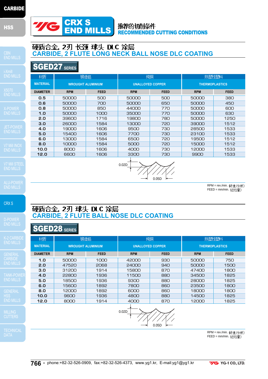



锻造铝

V7 Mill I

CRX S

硬质合金, 2刃 球头 DLC 涂层 **CARBIDE, 2 FLUTE BALL NOSE DLC COATING**

### SGED28 **SERIES**

| 材质              |                          | 锻造铝         | 纯铜                      |             | 热塑性塑料                 |             |  |  |
|-----------------|--------------------------|-------------|-------------------------|-------------|-----------------------|-------------|--|--|
| <b>MATERIAL</b> | <b>WROUGHT ALUMINIUM</b> |             | <b>UNALLOYED COPPER</b> |             | <b>THERMOPLASTICS</b> |             |  |  |
| <b>DIAMETER</b> | <b>RPM</b>               | <b>FEED</b> | <b>RPM</b>              | <b>FEED</b> | <b>RPM</b>            | <b>FEED</b> |  |  |
| 1.0             | 50000                    | 1000        | 42000                   | 930         | 50000                 | 750         |  |  |
| 2.0             | 47520                    | 2068        | 24000                   | 940         | 50000                 | 1500        |  |  |
| 3.0             | 31200                    | 1914        | 15800                   | 870         | 47400                 | 1800        |  |  |
| 4.0             | 22800                    | 1936        | 11500                   | 880         | 34500                 | 1825        |  |  |
| 5.0             | 18500                    | 1936        | 9300                    | 880         | 28000                 | 1825        |  |  |
| 6.0             | 15600                    | 1892        | 7800                    | 860         | 23500                 | 1800        |  |  |
| 8.0             | 12000                    | 1892        | 6000                    | 860         | 18000                 | 1800        |  |  |
| 10.0            | 9600                     | 1936        | 4800                    | 880         | 14500                 | 1825        |  |  |
| 12.0            | 8000                     | 1914        | 4000                    | 870         | 12000                 | 1825        |  |  |

MILLING



RPM = rev./min. FEED = mm/min.



# 硬质合金, 2刃 长颈 球头 DLC 涂层<br>CARBIDE, 2 FLUTE LONG NECK BALL NOSE DLC COATING

SGED27 **SERIES**

| <b>MATERIAL</b> |                 | <b>WROUGHT ALUMINIUM</b> |             | <b>UNALLOYED COPPER</b> |             |            | <b>THERMOPLASTICS</b> |  |  |
|-----------------|-----------------|--------------------------|-------------|-------------------------|-------------|------------|-----------------------|--|--|
| LS.             | <b>DIAMETER</b> | <b>RPM</b>               | <b>FEED</b> | <b>RPM</b>              | <b>FEED</b> | <b>RPM</b> | <b>FEED</b>           |  |  |
|                 | 0.5             | 50000                    | 500         | 50000                   | 500         | 50000      | 380                   |  |  |
|                 | 0.6             | 50000                    | 700         | 50000                   | 650         | 50000      | 450                   |  |  |
|                 | 0.8             | 50000                    | 850         | 44000                   | 770         | 50000      | 600                   |  |  |
| LS              | 1.0             | 50000                    | 1000        | 35000                   | 770         | 50000      | 630                   |  |  |
|                 | 2.0             | 39600                    | 1716        | 19800                   | 780         | 50000      | 1250                  |  |  |
|                 | 3.0             | 26000                    | 1584        | 13000                   | 720         | 39000      | 1512                  |  |  |
| /ER             | 4.0             | 19000                    | 1606        | 9500                    | 730         | 28500      | 1533                  |  |  |
|                 | 5.0             | 15400                    | 1606        | 7700                    | 730         | 23100      | 1533                  |  |  |
|                 | 6.0             | 13000                    | 1584        | 6500                    | 720         | 19500      | 1512                  |  |  |
| ЮX              | 8.0             | 10000                    | 1584        | 5000                    | 720         | 15000      | 1512                  |  |  |
| LS.             | 10.0            | 8000                     | 1606        | 4000                    | 730         | 12000      | 1533                  |  |  |
|                 | 12.0            | 6600                     | 1606        | 3300                    | 730         | 9900       | 1533                  |  |  |
|                 |                 |                          |             |                         |             |            |                       |  |  |



纯铜

RPM = rev./min. 转速/分钟)  $FEED = \text{mm/min.}$  $($ 进给量)

热塑性塑料

0.02D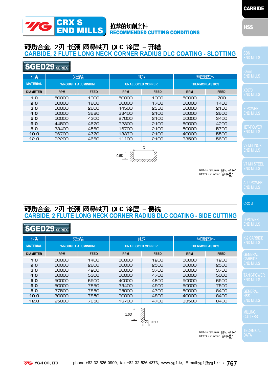### 推荐的切削条件 RECOMMENDED CUTTING CONDITIONS

# 硬质合金, 2刃 长颈 圆鼻铁刀 DLC 涂层 - 开槽<br>CARBIDE, 2 FLUTE LONG NECK CORNER RADIUS DLC COATING - SLOTTING

### SGED29 **SERIES**

**TE** 

CRX S

END MILLS

| 材质              | 锻造铝<br><b>WROUGHT ALUMINIUM</b> |             | 纯铜<br><b>UNALLOYED COPPER</b> |             | 热塑性塑料<br><b>THERMOPLASTICS</b> |             |  |
|-----------------|---------------------------------|-------------|-------------------------------|-------------|--------------------------------|-------------|--|
| <b>MATERIAL</b> |                                 |             |                               |             |                                |             |  |
| <b>DIAMETER</b> | <b>RPM</b>                      | <b>FEED</b> | <b>RPM</b>                    | <b>FEED</b> | <b>RPM</b>                     | <b>FEED</b> |  |
| 1.0             | 50000                           | 1000        | 50000                         | 1000        | 50000                          | 700         |  |
| 2.0             | 50000                           | 1800        | 50000                         | 1700        | 50000                          | 1400        |  |
| 3.0             | 50000                           | 2600        | 44500                         | 2350        | 50000                          | 2100        |  |
| 4.0             | 50000                           | 3680        | 33400                         | 2100        | 50000                          | 2600        |  |
| 5.0             | 50000                           | 4300        | 27000                         | 2100        | 50000                          | 3400        |  |
| 6.0             | 44500                           | 4670        | 22300                         | 2100        | 50000                          | 4200        |  |
| 8.0             | 33400                           | 4560        | 16700                         | 2100        | 50000                          | 5700        |  |
| 10.0            | 26700                           | 4770        | 13370                         | 2100        | 40000                          | 5500        |  |
| 12.0            | 22200                           | 4660        | 11100                         | 2100        | 33500                          | 5600        |  |



RPM = rev./min. 转速/分钟)  $FEED = \text{mm/min.}$  $($ 进给量

CRX S

### 硬质合金,2刃 长颈 圆鼻铁刀 DLC 涂层 - 侧铣 **CARBIDE, 2 FLUTE LONG NECK CORNER RADIUS DLC COATING - SIDE CUTTING**

### SGED29 **SERIES**

| 材质              | 锻造铝                      |             | 纯铜                      |             | 热塑性塑料                 |             |  |
|-----------------|--------------------------|-------------|-------------------------|-------------|-----------------------|-------------|--|
| <b>MATERIAL</b> | <b>WROUGHT ALUMINIUM</b> |             | <b>UNALLOYED COPPER</b> |             | <b>THERMOPLASTICS</b> |             |  |
| <b>DIAMETER</b> | <b>RPM</b>               | <b>FEED</b> | <b>RPM</b>              | <b>FEED</b> | <b>RPM</b>            | <b>FEED</b> |  |
| 1.0             | 50000                    | 1400        | 50000                   | 1200        | 50000                 | 1200        |  |
| 2.0             | 50000                    | 2800        | 50000                   | 2500        | 50000                 | 2500        |  |
| 3.0             | 50000                    | 4200        | 50000                   | 3700        | 50000                 | 3700        |  |
| 4.0             | 50000                    | 5300        | 50000                   | 4700        | 50000                 | 5000        |  |
| 5.0             | 50000                    | 6500        | 40000                   | 4800        | 50000                 | 6500        |  |
| 6.0             | 50000                    | 7850        | 33400                   | 4900        | 50000                 | 7500        |  |
| 8.0             | 37500                    | 7850        | 25000                   | 4700        | 50000                 | 8400        |  |
| 10.0            | 30000                    | 7850        | 20000                   | 4800        | 40000                 | 8400        |  |
| 12.0            | 25000                    | 7850        | 16700                   | 4700        | 33500                 | 8400        |  |



RPM = rev./min. 转速/分钟)  $FEED = \text{mm/min.}$  $($   $\frac{1}{2}$   $\frac{1}{2}$   $\frac{1}{2}$   $)$ 

**CARBIDE** 

HSS